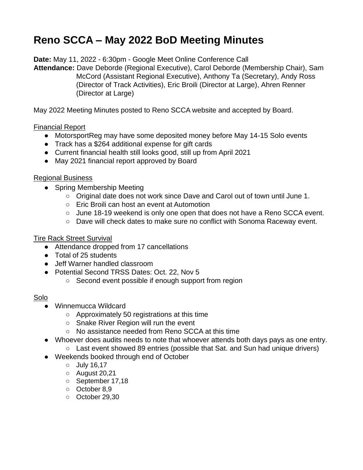# **Reno SCCA – May 2022 BoD Meeting Minutes**

**Date:** May 11, 2022 - 6:30pm - Google Meet Online Conference Call

**Attendance:** Dave Deborde (Regional Executive), Carol Deborde (Membership Chair), Sam McCord (Assistant Regional Executive), Anthony Ta (Secretary), Andy Ross (Director of Track Activities), Eric Broili (Director at Large), Ahren Renner (Director at Large)

May 2022 Meeting Minutes posted to Reno SCCA website and accepted by Board.

## Financial Report

- MotorsportReg may have some deposited money before May 14-15 Solo events
- Track has a \$264 additional expense for gift cards
- Current financial health still looks good, still up from April 2021
- May 2021 financial report approved by Board

### Regional Business

- Spring Membership Meeting
	- Original date does not work since Dave and Carol out of town until June 1.
	- Eric Broili can host an event at Automotion
	- June 18-19 weekend is only one open that does not have a Reno SCCA event.
	- Dave will check dates to make sure no conflict with Sonoma Raceway event.

### Tire Rack Street Survival

- Attendance dropped from 17 cancellations
- Total of 25 students
- Jeff Warner handled classroom
- Potential Second TRSS Dates: Oct. 22, Nov 5
	- Second event possible if enough support from region

### Solo

- Winnemucca Wildcard
	- Approximately 50 registrations at this time
	- Snake River Region will run the event
	- No assistance needed from Reno SCCA at this time
- Whoever does audits needs to note that whoever attends both days pays as one entry.
	- Last event showed 89 entries (possible that Sat. and Sun had unique drivers)
- Weekends booked through end of October
	- July 16,17
	- August 20,21
	- September 17,18
	- October 8,9
	- October 29,30